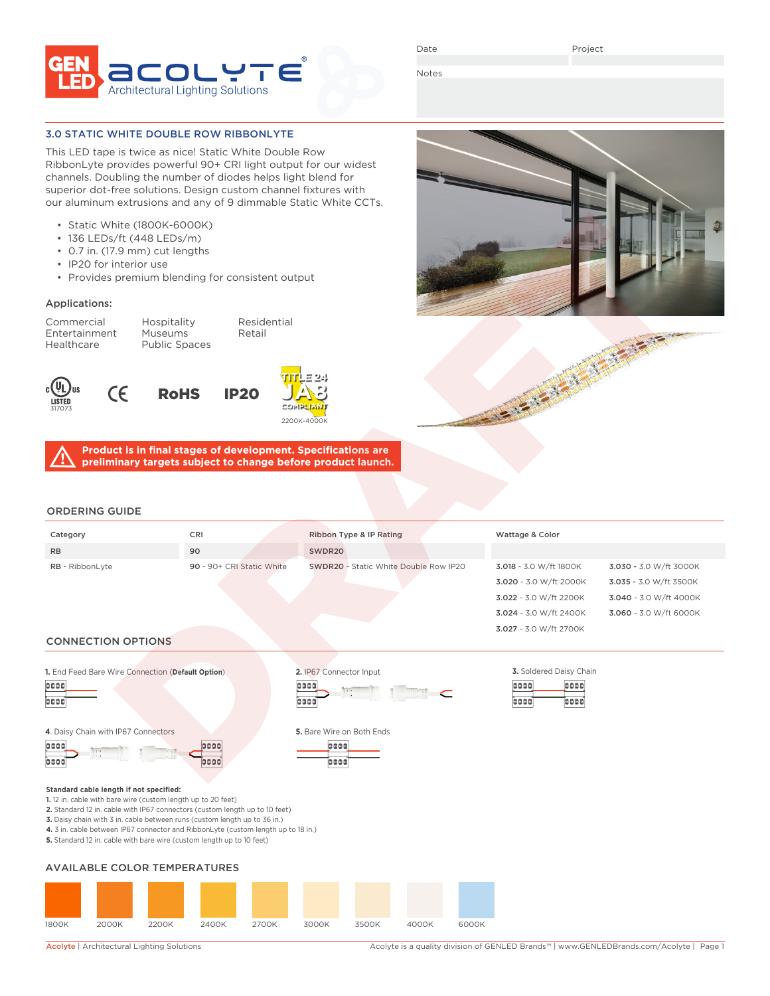

Date

Notes

#### 3.0 STATIC WHITE DOUBLE ROW RIBBONLYTE

This LED tape is twice as nice! Static White Double Row RibbonLyte provides powerful 90+ CRI light output for our widest channels. Doubling the number of diodes helps light blend for superior dot-free solutions. Design custom channel fixtures with our aluminum extrusions and any of 9 dimmable Static White CCTs.

- Static White (1800K-6000K)
- 136 LEDs/ft (448 LEDs/m)
- 0.7 in. (17.9 mm) cut lengths
- IP20 for interior use
- Provides premium blending for consistent output

### Applications:

Commercial Hospitality Residential Entertainment Museums Retail<br>Healthcare Public Spaces Public Spaces









**Product is in final stages of development. Specifications are preliminary targets subject to change before product launch.**

### ORDERING GUIDE

| Category               | <b>CRI</b>                | Ribbon Type & IP Rating                      | Wattage & Color        |                        |
|------------------------|---------------------------|----------------------------------------------|------------------------|------------------------|
| <b>RB</b>              | 90                        | SWDR20                                       |                        |                        |
| <b>RB</b> - RibbonLyte | 90 - 90+ CRI Static White | <b>SWDR20</b> - Static White Double Row IP20 | 3.018 - 3.0 W/ft 1800K | 3.030 - 3.0 W/ft 3000K |
|                        |                           |                                              | 3.020 - 3.0 W/ft 2000K | 3.035 - 3.0 W/ft 3500K |
|                        |                           |                                              | 3.022 - 3.0 W/ft 2200K | 3.040 - 3.0 W/ft 4000K |
|                        |                           |                                              | 3.024 - 3.0 W/ft 2400K | 3.060 - 3.0 W/ft 6000K |

## CONNECTION OPTIONS





666 6666

3.027 - 3.0 W/ft 2700K

**Standard cable length if not specified:**

| 6666 |  | 6666 |
|------|--|------|
| 0000 |  | 0000 |

**1.** 12 in. cable with bare wire (custom length up to 20 feet)





AVAILABLE COLOR TEMPERATURES

**5.** Standard 12 in. cable with bare wire (custom length up to 10 feet)

**2.** Standard 12 in. cable with IP67 connectors (custom length up to 10 feet) **3.** Daisy chain with 3 in. cable between runs (custom length up to 36 in.) **4.** 3 in. cable between IP67 connector and RibbonLyte (custom length up to 18 in.)



Acolyte | Architectural Lighting Solutions <br>Acolyte is a quality division of GENLED Brands™ | www.GENLEDBrands.com/Acolyte | Page 1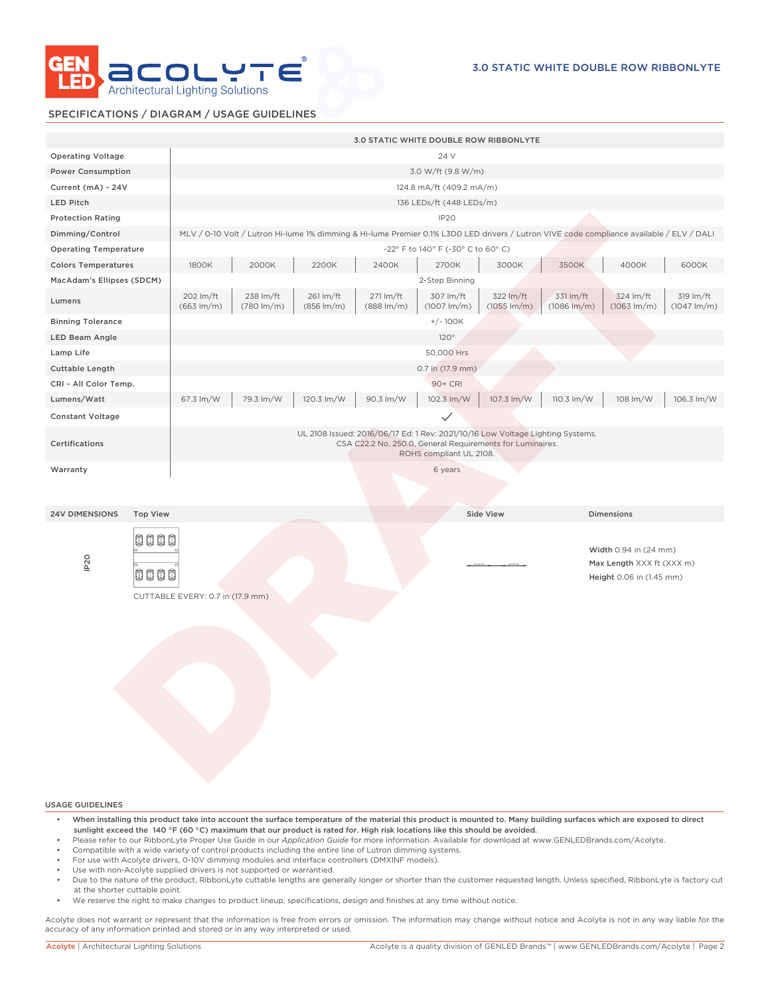

### SPECIFICATIONS / DIAGRAM / USAGE GUIDELINES

|                                          |                                     |                                     |                                     |                                     | <b>3.0 STATIC WHITE DOUBLE ROW RIBBONLYTE</b>                                                                                                                          |                                      |                                      |                                                                                |                                      |
|------------------------------------------|-------------------------------------|-------------------------------------|-------------------------------------|-------------------------------------|------------------------------------------------------------------------------------------------------------------------------------------------------------------------|--------------------------------------|--------------------------------------|--------------------------------------------------------------------------------|--------------------------------------|
| <b>Operating Voltage</b>                 |                                     |                                     |                                     |                                     | 24 V                                                                                                                                                                   |                                      |                                      |                                                                                |                                      |
| <b>Power Consumption</b>                 |                                     |                                     |                                     |                                     | 3.0 W/ft (9.8 W/m)                                                                                                                                                     |                                      |                                      |                                                                                |                                      |
| Current (mA) - 24V                       |                                     |                                     |                                     |                                     | 124.8 mA/ft (409.2 mA/m)                                                                                                                                               |                                      |                                      |                                                                                |                                      |
| <b>LED Pitch</b>                         |                                     |                                     |                                     |                                     | 136 LEDs/ft (448 LEDs/m)                                                                                                                                               |                                      |                                      |                                                                                |                                      |
| <b>Protection Rating</b>                 |                                     |                                     |                                     |                                     | IP <sub>20</sub>                                                                                                                                                       |                                      |                                      |                                                                                |                                      |
| Dimming/Control                          |                                     |                                     |                                     |                                     | MLV / 0-10 Volt / Lutron Hi-lume 1% dimming & Hi-lume Premier 0.1% L3D0 LED drivers / Lutron VIVE code compliance available / ELV / DALI                               |                                      |                                      |                                                                                |                                      |
| <b>Operating Temperature</b>             |                                     |                                     |                                     |                                     | -22° F to 140° F (-30° C to 60° C)                                                                                                                                     |                                      |                                      |                                                                                |                                      |
| <b>Colors Temperatures</b>               | 1800K                               | 2000K                               | 2200K                               | 2400K                               | 2700K                                                                                                                                                                  | 3000K                                | 3500K                                | 4000K                                                                          | 6000K                                |
| MacAdam's Ellipses (SDCM)                |                                     |                                     |                                     |                                     | 2-Step Binning                                                                                                                                                         |                                      |                                      |                                                                                |                                      |
| Lumens                                   | 202 lm/ft<br>$(663 \, \text{Im/m})$ | 238 lm/ft<br>$(780 \, \text{Im/m})$ | 261 lm/ft<br>$(856 \, \text{Im/m})$ | 271 lm/ft<br>$(888 \, \text{Im/m})$ | 307 lm/ft<br>$(1007 \, \text{Im/m})$                                                                                                                                   | 322 lm/ft<br>$(1055 \, \text{Im/m})$ | 331 lm/ft<br>$(1086 \, \text{Im/m})$ | 324 lm/ft<br>$(1063 \, \text{Im/m})$                                           | 319 lm/ft<br>$(1047 \, \text{Im/m})$ |
| <b>Binning Tolerance</b>                 |                                     |                                     |                                     |                                     | $+/- 100K$                                                                                                                                                             |                                      |                                      |                                                                                |                                      |
| LED Beam Angle                           |                                     |                                     |                                     |                                     | 120°                                                                                                                                                                   |                                      |                                      |                                                                                |                                      |
| Lamp Life                                |                                     |                                     |                                     |                                     | 50,000 Hrs                                                                                                                                                             |                                      |                                      |                                                                                |                                      |
| <b>Cuttable Length</b>                   |                                     |                                     |                                     |                                     | 0.7 in (17.9 mm)                                                                                                                                                       |                                      |                                      |                                                                                |                                      |
| CRI - All Color Temp.                    |                                     |                                     |                                     |                                     | 90+ CRI                                                                                                                                                                |                                      |                                      |                                                                                |                                      |
| Lumens/Watt                              | 67.3 lm/W                           | 79.3 lm/W                           | 120.3 lm/W                          | 90.3 lm/W                           | 102.3 lm/W                                                                                                                                                             | 107.3 lm/W                           | 110.3 lm/W                           | 108 lm/W                                                                       | 106.3 lm/W                           |
| <b>Constant Voltage</b>                  |                                     |                                     |                                     |                                     | $\checkmark$                                                                                                                                                           |                                      |                                      |                                                                                |                                      |
| Certifications                           |                                     |                                     |                                     |                                     | UL 2108 Issued: 2016/06/17 Ed: 1 Rev: 2021/10/16 Low Voltage Lighting Systems.<br>CSA C22.2 No. 250.0, General Requirements for Luminaires.<br>ROHS compliant UL 2108. |                                      |                                      |                                                                                |                                      |
| Warranty                                 |                                     |                                     |                                     |                                     | 6 years                                                                                                                                                                |                                      |                                      |                                                                                |                                      |
|                                          |                                     |                                     |                                     |                                     |                                                                                                                                                                        |                                      |                                      |                                                                                |                                      |
|                                          |                                     |                                     |                                     |                                     |                                                                                                                                                                        |                                      |                                      |                                                                                |                                      |
| <b>Top View</b><br><b>24V DIMENSIONS</b> |                                     |                                     |                                     |                                     |                                                                                                                                                                        | <b>Side View</b>                     |                                      | <b>Dimensions</b>                                                              |                                      |
| 0000<br>IP <sub>20</sub><br>0000         | CUTTABLE EVERY: 0.7 in (17.9 mm)    |                                     |                                     |                                     |                                                                                                                                                                        |                                      |                                      | Width 0.94 in (24 mm)<br>Max Length XXX ft (XXX m)<br>Height 0.06 in (1.45 mm) |                                      |

- When installing this product take into account the surface temperature of the material this product is mounted to. Many building surfaces which are exposed to direct sunlight exceed the 140 °F (60 °C) maximum that our product is rated for. High risk locations like this should be avoided.
- Please refer to our RibbonLyte Proper Use Guide in our *Application Guide* for more information. Available for download at www.GENLEDBrands.com/Acolyte.
- Compatible with a wide variety of control products including the entire line of Lutron dimming systems.
- For use with Acolyte drivers, 0-10V dimming modules and interface controllers (DMXINF models).
- Use with non-Acolyte supplied drivers is not supported or warrantied.
- Due to the nature of the product, RibbonLyte cuttable lengths are generally longer or shorter than the customer requested length. Unless specified, RibbonLyte is factory cut at the shorter cuttable point.
- We reserve the right to make changes to product lineup, specifications, design and finishes at any time without notice.

Acolyte does not warrant or represent that the information is free from errors or omission. The information may change without notice and Acolyte is not in any way liable for the accuracy of any information printed and stored or in any way interpreted or used.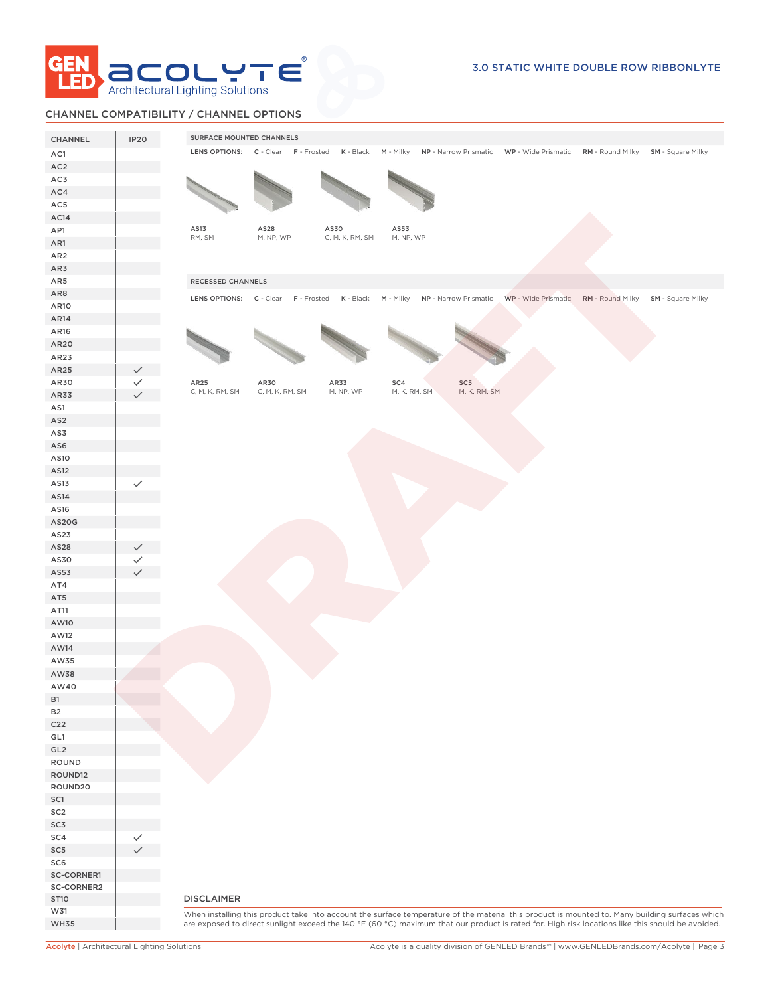

# CHANNEL COMPATIBILITY / CHANNEL OPTIONS

| CHANNEL                   | <b>IP20</b>  | SURFACE MOUNTED CHANNELS                                                                                                                                                                                                                                                                            |  |
|---------------------------|--------------|-----------------------------------------------------------------------------------------------------------------------------------------------------------------------------------------------------------------------------------------------------------------------------------------------------|--|
| AC1                       |              | LENS OPTIONS: C - Clear F - Frosted K - Black M - Milky NP - Narrow Prismatic WP - Wide Prismatic RM - Round Milky SM - Square Milky                                                                                                                                                                |  |
| AC <sub>2</sub>           |              |                                                                                                                                                                                                                                                                                                     |  |
| AC3                       |              |                                                                                                                                                                                                                                                                                                     |  |
| AC4                       |              |                                                                                                                                                                                                                                                                                                     |  |
| AC5                       |              |                                                                                                                                                                                                                                                                                                     |  |
| AC14                      |              |                                                                                                                                                                                                                                                                                                     |  |
| AP1                       |              | AS13<br>AS28<br>AS30<br>AS53                                                                                                                                                                                                                                                                        |  |
| AR1                       |              | RM, SM<br>M, NP, WP<br>C, M, K, RM, SM<br>M, NP, WP                                                                                                                                                                                                                                                 |  |
| AR <sub>2</sub>           |              |                                                                                                                                                                                                                                                                                                     |  |
| AR3                       |              |                                                                                                                                                                                                                                                                                                     |  |
| AR5                       |              | RECESSED CHANNELS                                                                                                                                                                                                                                                                                   |  |
| AR8                       |              | LENS OPTIONS: C - Clear F - Frosted K - Black M - Milky NP - Narrow Prismatic WP - Wide Prismatic RM - Round Milky SM - Square Milky                                                                                                                                                                |  |
| AR10                      |              |                                                                                                                                                                                                                                                                                                     |  |
| AR14                      |              |                                                                                                                                                                                                                                                                                                     |  |
| AR16                      |              |                                                                                                                                                                                                                                                                                                     |  |
| AR20                      |              |                                                                                                                                                                                                                                                                                                     |  |
| AR23                      |              |                                                                                                                                                                                                                                                                                                     |  |
| AR25                      |              |                                                                                                                                                                                                                                                                                                     |  |
| AR30                      |              | AR25<br>AR30<br>AR33<br>SC4<br>SC5                                                                                                                                                                                                                                                                  |  |
| AR33                      |              | M, K, RM, SM<br>M, K, RM, SM<br>C, M, K, RM, SM<br>C, M, K, RM, SM<br>M, NP, WP                                                                                                                                                                                                                     |  |
| AS1                       |              |                                                                                                                                                                                                                                                                                                     |  |
| AS <sub>2</sub>           |              |                                                                                                                                                                                                                                                                                                     |  |
| AS3                       |              |                                                                                                                                                                                                                                                                                                     |  |
| AS6                       |              |                                                                                                                                                                                                                                                                                                     |  |
| AS10                      |              |                                                                                                                                                                                                                                                                                                     |  |
| AS12                      |              |                                                                                                                                                                                                                                                                                                     |  |
| AS13                      | $\checkmark$ |                                                                                                                                                                                                                                                                                                     |  |
| AS14                      |              |                                                                                                                                                                                                                                                                                                     |  |
| AS16                      |              |                                                                                                                                                                                                                                                                                                     |  |
| AS20G                     |              |                                                                                                                                                                                                                                                                                                     |  |
| AS23                      |              |                                                                                                                                                                                                                                                                                                     |  |
| AS28                      |              |                                                                                                                                                                                                                                                                                                     |  |
| AS30                      |              |                                                                                                                                                                                                                                                                                                     |  |
| AS53                      |              |                                                                                                                                                                                                                                                                                                     |  |
| AT4                       |              |                                                                                                                                                                                                                                                                                                     |  |
| AT5                       |              |                                                                                                                                                                                                                                                                                                     |  |
| AT11                      |              |                                                                                                                                                                                                                                                                                                     |  |
| AW10                      |              |                                                                                                                                                                                                                                                                                                     |  |
| AW12                      |              |                                                                                                                                                                                                                                                                                                     |  |
| AW14                      |              |                                                                                                                                                                                                                                                                                                     |  |
| AW35                      |              |                                                                                                                                                                                                                                                                                                     |  |
| AW38                      |              |                                                                                                                                                                                                                                                                                                     |  |
| AW40                      |              |                                                                                                                                                                                                                                                                                                     |  |
| <b>B1</b>                 |              |                                                                                                                                                                                                                                                                                                     |  |
| <b>B2</b>                 |              |                                                                                                                                                                                                                                                                                                     |  |
| C <sub>22</sub>           |              |                                                                                                                                                                                                                                                                                                     |  |
| GL1                       |              |                                                                                                                                                                                                                                                                                                     |  |
| GL <sub>2</sub>           |              |                                                                                                                                                                                                                                                                                                     |  |
| ROUND                     |              |                                                                                                                                                                                                                                                                                                     |  |
| ROUND12                   |              |                                                                                                                                                                                                                                                                                                     |  |
| ROUND20                   |              |                                                                                                                                                                                                                                                                                                     |  |
| SC1                       |              |                                                                                                                                                                                                                                                                                                     |  |
| SC <sub>2</sub>           |              |                                                                                                                                                                                                                                                                                                     |  |
| SC3                       |              |                                                                                                                                                                                                                                                                                                     |  |
| SC4                       |              |                                                                                                                                                                                                                                                                                                     |  |
| SC <sub>5</sub>           |              |                                                                                                                                                                                                                                                                                                     |  |
| SC6                       |              |                                                                                                                                                                                                                                                                                                     |  |
| SC-CORNER1                |              |                                                                                                                                                                                                                                                                                                     |  |
| SC-CORNER2<br><b>ST10</b> |              | <b>DISCLAIMER</b>                                                                                                                                                                                                                                                                                   |  |
| W31                       |              |                                                                                                                                                                                                                                                                                                     |  |
| <b>WH35</b>               |              | When installing this product take into account the surface temperature of the material this product is mounted to. Many building surfaces which<br>are exposed to direct sunlight exceed the 140 °F (60 °C) maximum that our product is rated for. High risk locations like this should be avoided. |  |
|                           |              |                                                                                                                                                                                                                                                                                                     |  |